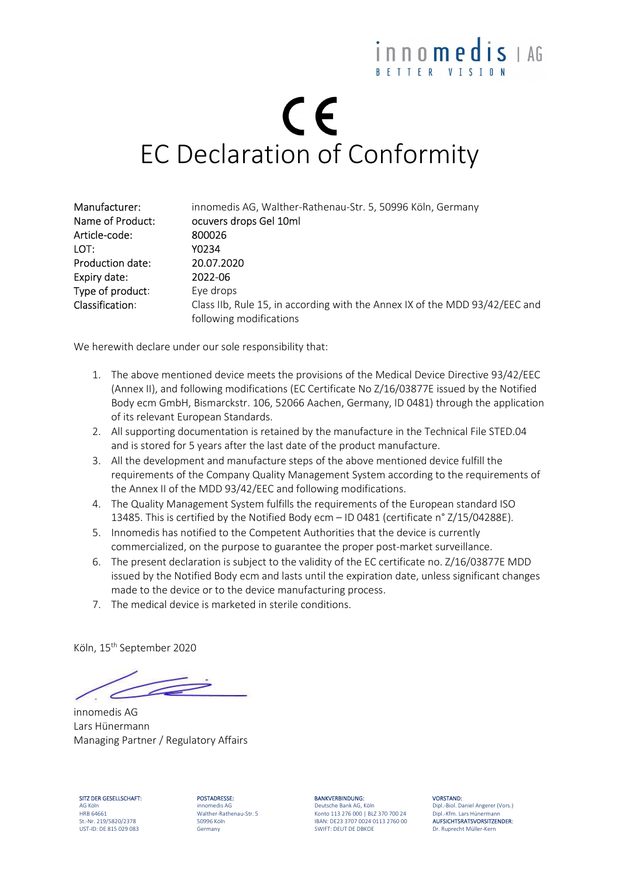### inno**medis** LAG BETTER VISIO

# CE EC Declaration of Conformity

| Manufacturer:           | innomedis AG, Walther-Rathenau-Str. 5, 50996 Köln, Germany                  |
|-------------------------|-----------------------------------------------------------------------------|
| Name of Product:        | ocuvers drops Gel 10ml                                                      |
| Article-code:           | 800026                                                                      |
| LOT:                    | Y0234                                                                       |
| <b>Production date:</b> | 20.07.2020                                                                  |
| Expiry date:            | 2022-06                                                                     |
| Type of product:        | Eye drops                                                                   |
| Classification:         | Class IIb, Rule 15, in according with the Annex IX of the MDD 93/42/EEC and |
|                         | following modifications                                                     |

We herewith declare under our sole responsibility that:

- 1. The above mentioned device meets the provisions of the Medical Device Directive 93/42/EEC (Annex II), and following modifications (EC Certificate No Z/16/03877E issued by the Notified Body ecm GmbH, Bismarckstr. 106, 52066 Aachen, Germany, ID 0481) through the application of its relevant European Standards.
- 2. All supporting documentation is retained by the manufacture in the Technical File STED.04 and is stored for 5 years after the last date of the product manufacture.
- 3. All the development and manufacture steps of the above mentioned device fulfill the requirements of the Company Quality Management System according to the requirements of the Annex II of the MDD 93/42/EEC and following modifications.
- 4. The Quality Management System fulfills the requirements of the European standard ISO 13485. This is certified by the Notified Body ecm – ID 0481 (certificate n° Z/15/04288E).
- 5. Innomedis has notified to the Competent Authorities that the device is currently commercialized, on the purpose to guarantee the proper post-market surveillance.
- 6. The present declaration is subject to the validity of the EC certificate no. Z/16/03877E MDD issued by the Notified Body ecm and lasts until the expiration date, unless significant changes made to the device or to the device manufacturing process.
- 7. The medical device is marketed in sterile conditions.

Köln, 15th September 2020

innomedis AG Lars Hünermann Managing Partner / Regulatory Affairs

SITZ DER GESELLSCHAFT: POSTADRESSE: BANKVERBINDUNG: VORSTAND: UST-ID: DE 815 029 083 Germany SWIFT: DEUT DE DBKOE Dr. Ruprecht Müller-Kern

AG Köln innomedis AG Deutsche Bank AG, Köln Dipl.-Biol. Daniel Angerer (Vors.) HRB 64661 Walther-Rathenau-Str. 5 Konto 113 276 000 | BLZ 370 700 24 Dipl.-Kfm. Lars Hünermann St.-Nr. 219/5820/2378 50996 Köln ISBAN: DE23 3707 0024 0113 2760 00 **AUFSICHTSRATSVORSITZENDER:**